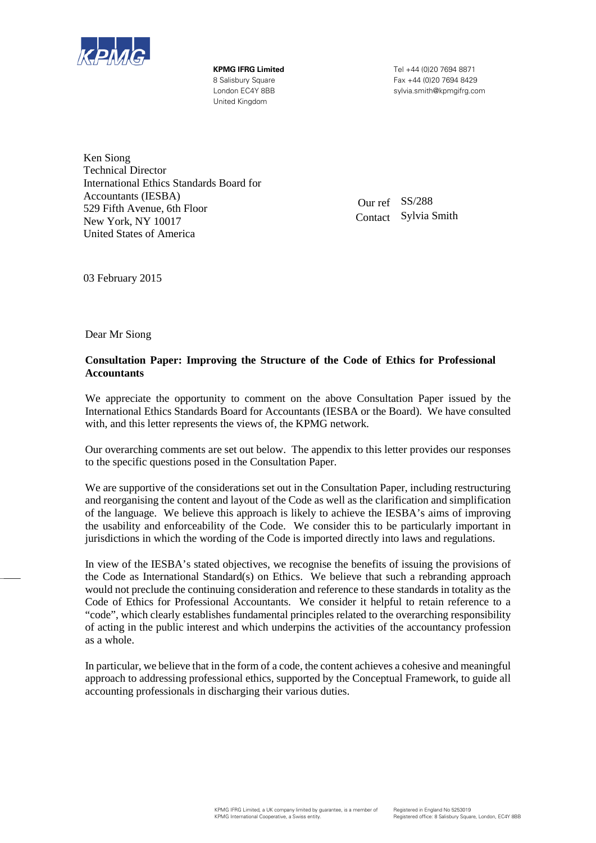

United Kingdom

**KPMG IFRG Limited** Tel +44 (0)20 7694 8871 8 Salisbury Square Fax +44 (0)20 7694 8429 London EC4Y 8BB sylvia.smith@kpmgifrg.com

Ken Siong Technical Director International Ethics Standards Board for Accountants (IESBA) 529 Fifth Avenue, 6th Floor New York, NY 10017 United States of America

Our ref SS/288 Contact Sylvia Smith

03 February 2015

Dear Mr Siong

#### **Consultation Paper: Improving the Structure of the Code of Ethics for Professional Accountants**

We appreciate the opportunity to comment on the above Consultation Paper issued by the International Ethics Standards Board for Accountants (IESBA or the Board). We have consulted with, and this letter represents the views of, the KPMG network.

Our overarching comments are set out below. The appendix to this letter provides our responses to the specific questions posed in the Consultation Paper.

We are supportive of the considerations set out in the Consultation Paper, including restructuring and reorganising the content and layout of the Code as well as the clarification and simplification of the language. We believe this approach is likely to achieve the IESBA's aims of improving the usability and enforceability of the Code. We consider this to be particularly important in jurisdictions in which the wording of the Code is imported directly into laws and regulations.

In view of the IESBA's stated objectives, we recognise the benefits of issuing the provisions of the Code as International Standard(s) on Ethics. We believe that such a rebranding approach would not preclude the continuing consideration and reference to these standards in totality as the Code of Ethics for Professional Accountants. We consider it helpful to retain reference to a "code", which clearly establishes fundamental principles related to the overarching responsibility of acting in the public interest and which underpins the activities of the accountancy profession as a whole.

In particular, we believe that in the form of a code, the content achieves a cohesive and meaningful approach to addressing professional ethics, supported by the Conceptual Framework, to guide all accounting professionals in discharging their various duties.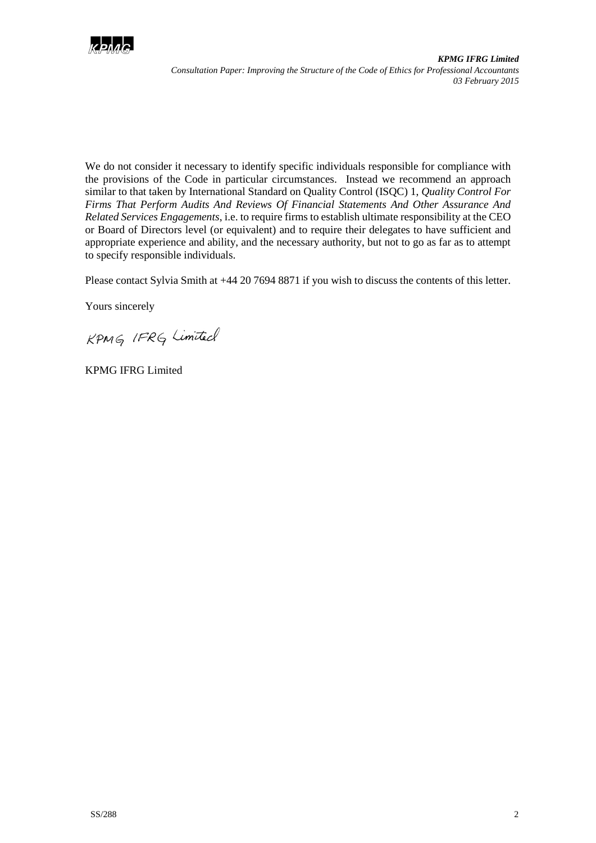

We do not consider it necessary to identify specific individuals responsible for compliance with the provisions of the Code in particular circumstances. Instead we recommend an approach similar to that taken by International Standard on Quality Control (ISQC) 1, *Quality Control For Firms That Perform Audits And Reviews Of Financial Statements And Other Assurance And Related Services Engagements*, i.e. to require firms to establish ultimate responsibility at the CEO or Board of Directors level (or equivalent) and to require their delegates to have sufficient and appropriate experience and ability, and the necessary authority, but not to go as far as to attempt to specify responsible individuals.

Please contact Sylvia Smith at +44 20 7694 8871 if you wish to discuss the contents of this letter.

Yours sincerely

KPMG IFRG Limited

KPMG IFRG Limited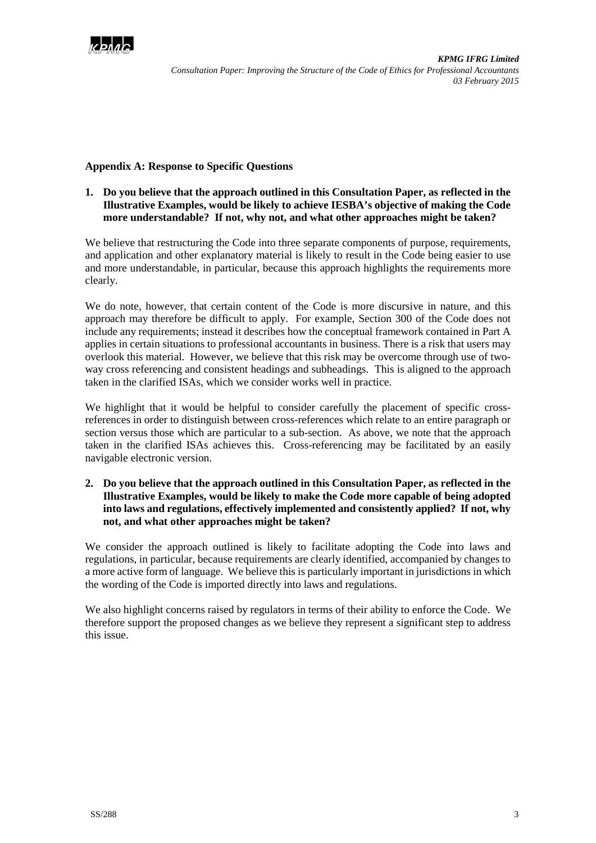

#### **Appendix A: Response to Specific Questions**

# **1. Do you believe that the approach outlined in this Consultation Paper, as reflected in the Illustrative Examples, would be likely to achieve IESBA's objective of making the Code more understandable? If not, why not, and what other approaches might be taken?**

We believe that restructuring the Code into three separate components of purpose, requirements, and application and other explanatory material is likely to result in the Code being easier to use and more understandable, in particular, because this approach highlights the requirements more clearly.

We do note, however, that certain content of the Code is more discursive in nature, and this approach may therefore be difficult to apply. For example, Section 300 of the Code does not include any requirements; instead it describes how the conceptual framework contained in Part A applies in certain situations to professional accountants in business. There is a risk that users may overlook this material. However, we believe that this risk may be overcome through use of twoway cross referencing and consistent headings and subheadings. This is aligned to the approach taken in the clarified ISAs, which we consider works well in practice.

We highlight that it would be helpful to consider carefully the placement of specific crossreferences in order to distinguish between cross-references which relate to an entire paragraph or section versus those which are particular to a sub-section. As above, we note that the approach taken in the clarified ISAs achieves this. Cross-referencing may be facilitated by an easily navigable electronic version.

## **2. Do you believe that the approach outlined in this Consultation Paper, as reflected in the Illustrative Examples, would be likely to make the Code more capable of being adopted into laws and regulations, effectively implemented and consistently applied? If not, why not, and what other approaches might be taken?**

We consider the approach outlined is likely to facilitate adopting the Code into laws and regulations, in particular, because requirements are clearly identified, accompanied by changes to a more active form of language. We believe this is particularly important in jurisdictions in which the wording of the Code is imported directly into laws and regulations.

We also highlight concerns raised by regulators in terms of their ability to enforce the Code. We therefore support the proposed changes as we believe they represent a significant step to address this issue.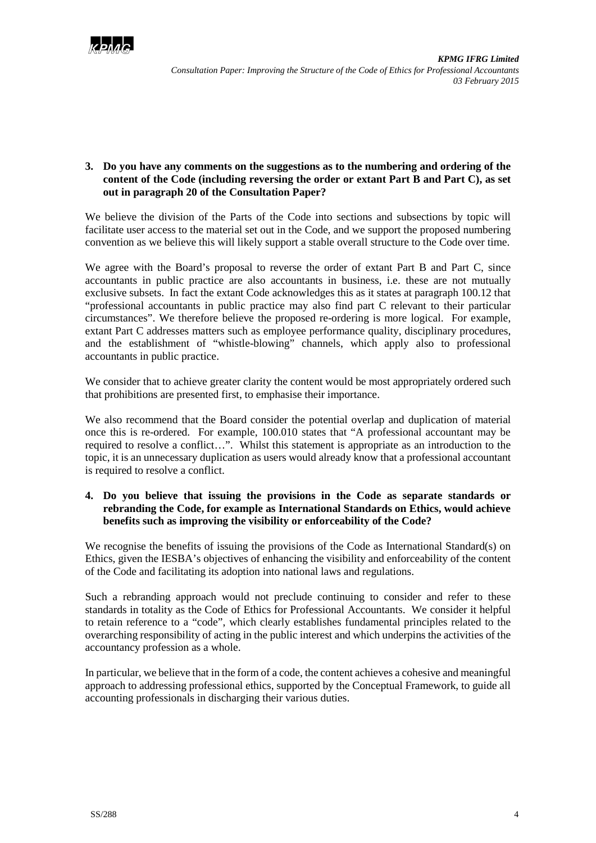

# **3. Do you have any comments on the suggestions as to the numbering and ordering of the content of the Code (including reversing the order or extant Part B and Part C), as set out in paragraph 20 of the Consultation Paper?**

We believe the division of the Parts of the Code into sections and subsections by topic will facilitate user access to the material set out in the Code, and we support the proposed numbering convention as we believe this will likely support a stable overall structure to the Code over time.

We agree with the Board's proposal to reverse the order of extant Part B and Part C, since accountants in public practice are also accountants in business, i.e. these are not mutually exclusive subsets. In fact the extant Code acknowledges this as it states at paragraph 100.12 that "professional accountants in public practice may also find part C relevant to their particular circumstances". We therefore believe the proposed re-ordering is more logical. For example, extant Part C addresses matters such as employee performance quality, disciplinary procedures, and the establishment of "whistle-blowing" channels, which apply also to professional accountants in public practice.

We consider that to achieve greater clarity the content would be most appropriately ordered such that prohibitions are presented first, to emphasise their importance.

We also recommend that the Board consider the potential overlap and duplication of material once this is re-ordered. For example, 100.010 states that "A professional accountant may be required to resolve a conflict…". Whilst this statement is appropriate as an introduction to the topic, it is an unnecessary duplication as users would already know that a professional accountant is required to resolve a conflict.

## **4. Do you believe that issuing the provisions in the Code as separate standards or rebranding the Code, for example as International Standards on Ethics, would achieve benefits such as improving the visibility or enforceability of the Code?**

We recognise the benefits of issuing the provisions of the Code as International Standard(s) on Ethics, given the IESBA's objectives of enhancing the visibility and enforceability of the content of the Code and facilitating its adoption into national laws and regulations.

Such a rebranding approach would not preclude continuing to consider and refer to these standards in totality as the Code of Ethics for Professional Accountants. We consider it helpful to retain reference to a "code", which clearly establishes fundamental principles related to the overarching responsibility of acting in the public interest and which underpins the activities of the accountancy profession as a whole.

In particular, we believe that in the form of a code, the content achieves a cohesive and meaningful approach to addressing professional ethics, supported by the Conceptual Framework, to guide all accounting professionals in discharging their various duties.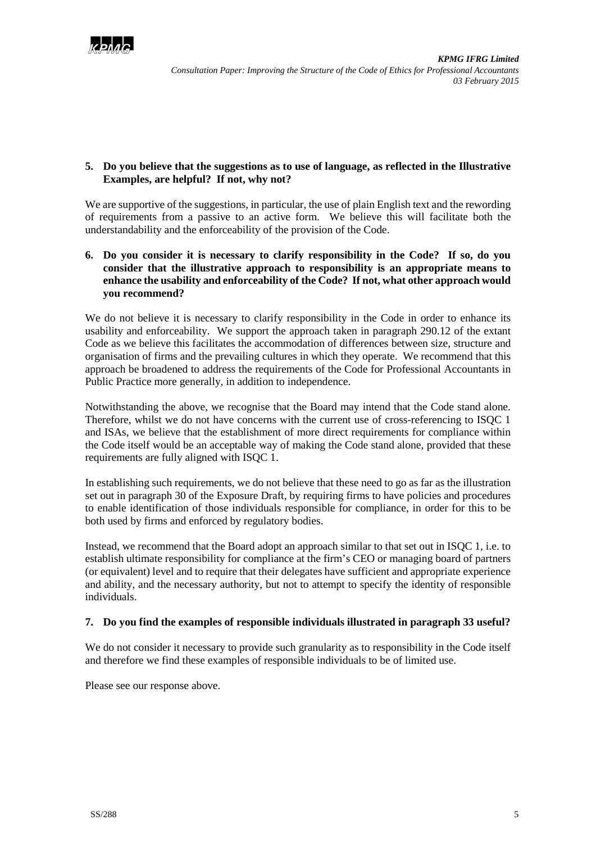

## **5. Do you believe that the suggestions as to use of language, as reflected in the Illustrative Examples, are helpful? If not, why not?**

We are supportive of the suggestions, in particular, the use of plain English text and the rewording of requirements from a passive to an active form. We believe this will facilitate both the understandability and the enforceability of the provision of the Code.

## **6. Do you consider it is necessary to clarify responsibility in the Code? If so, do you consider that the illustrative approach to responsibility is an appropriate means to enhance the usability and enforceability of the Code? If not, what other approach would you recommend?**

We do not believe it is necessary to clarify responsibility in the Code in order to enhance its usability and enforceability. We support the approach taken in paragraph 290.12 of the extant Code as we believe this facilitates the accommodation of differences between size, structure and organisation of firms and the prevailing cultures in which they operate. We recommend that this approach be broadened to address the requirements of the Code for Professional Accountants in Public Practice more generally, in addition to independence.

Notwithstanding the above, we recognise that the Board may intend that the Code stand alone. Therefore, whilst we do not have concerns with the current use of cross-referencing to ISQC 1 and ISAs, we believe that the establishment of more direct requirements for compliance within the Code itself would be an acceptable way of making the Code stand alone, provided that these requirements are fully aligned with ISQC 1.

In establishing such requirements, we do not believe that these need to go as far as the illustration set out in paragraph 30 of the Exposure Draft, by requiring firms to have policies and procedures to enable identification of those individuals responsible for compliance, in order for this to be both used by firms and enforced by regulatory bodies.

Instead, we recommend that the Board adopt an approach similar to that set out in ISQC 1, i.e. to establish ultimate responsibility for compliance at the firm's CEO or managing board of partners (or equivalent) level and to require that their delegates have sufficient and appropriate experience and ability, and the necessary authority, but not to attempt to specify the identity of responsible individuals.

# **7. Do you find the examples of responsible individuals illustrated in paragraph 33 useful?**

We do not consider it necessary to provide such granularity as to responsibility in the Code itself and therefore we find these examples of responsible individuals to be of limited use.

Please see our response above.